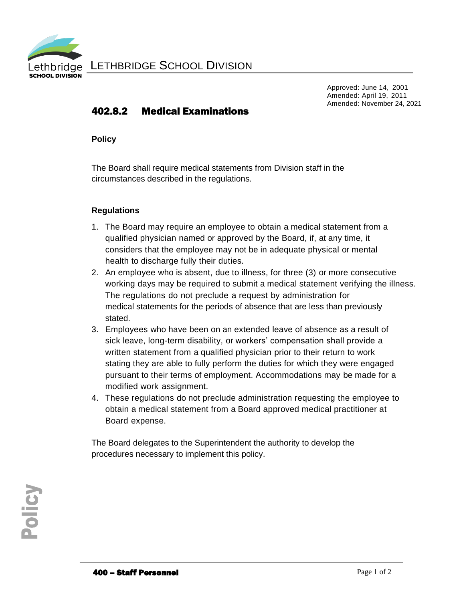

LETHBRIDGE SCHOOL DIVISION

Approved: June 14, 2001 Amended: April 19, 2011 Amended: November 24, 2021

## 402.8.2 Medical Examinations

**Policy**

The Board shall require medical statements from Division staff in the circumstances described in the regulations.

## **Regulations**

- 1. The Board may require an employee to obtain a medical statement from a qualified physician named or approved by the Board, if, at any time, it considers that the employee may not be in adequate physical or mental health to discharge fully their duties.
- 2. An employee who is absent, due to illness, for three (3) or more consecutive working days may be required to submit a medical statement verifying the illness. The regulations do not preclude a request by administration for medical statements for the periods of absence that are less than previously stated.
- 3. Employees who have been on an extended leave of absence as a result of sick leave, long-term disability, or workers' compensation shall provide a written statement from a qualified physician prior to their return to work stating they are able to fully perform the duties for which they were engaged pursuant to their terms of employment. Accommodations may be made for a modified work assignment.
- 4. These regulations do not preclude administration requesting the employee to obtain a medical statement from a Board approved medical practitioner at Board expense.

The Board delegates to the Superintendent the authority to develop the procedures necessary to implement this policy.